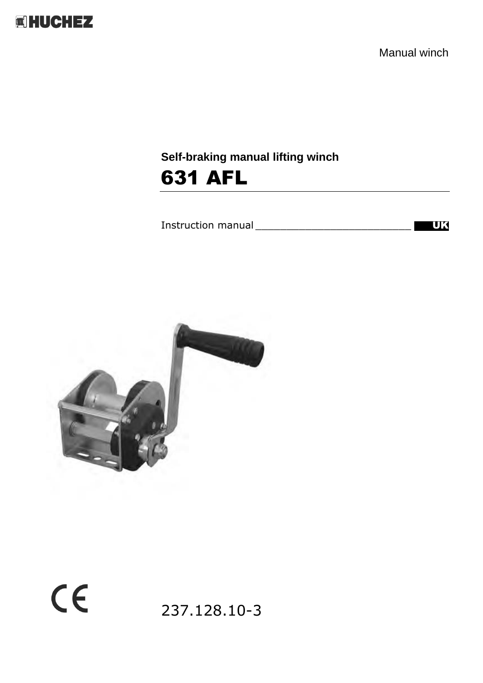

Manual winch

# **Self-braking manual lifting winch** 631 AFL

Instruction manual \_\_\_\_\_\_\_\_\_\_\_\_\_\_\_\_\_\_\_\_\_\_\_\_\_ UK



 $C<sub>f</sub>$ 

237.128.10-3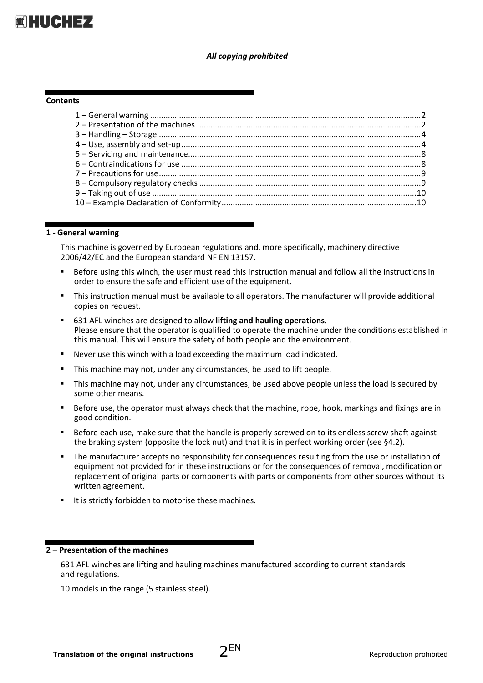

#### *All copying prohibited*

#### **Contents**

#### **1 - General warning**

This machine is governed by European regulations and, more specifically, machinery directive 2006/42/EC and the European standard NF EN 13157.

- Before using this winch, the user must read this instruction manual and follow all the instructions in order to ensure the safe and efficient use of the equipment.
- This instruction manual must be available to all operators. The manufacturer will provide additional copies on request.
- 631 AFL winches are designed to allow **lifting and hauling operations.** Please ensure that the operator is qualified to operate the machine under the conditions established in this manual. This will ensure the safety of both people and the environment.
- Never use this winch with a load exceeding the maximum load indicated.
- This machine may not, under any circumstances, be used to lift people.
- **EXECT** This machine may not, under any circumstances, be used above people unless the load is secured by some other means.
- Before use, the operator must always check that the machine, rope, hook, markings and fixings are in good condition.
- **EXECT** Before each use, make sure that the handle is properly screwed on to its endless screw shaft against the braking system (opposite the lock nut) and that it is in perfect working order (see §4.2).
- The manufacturer accepts no responsibility for consequences resulting from the use or installation of equipment not provided for in these instructions or for the consequences of removal, modification or replacement of original parts or components with parts or components from other sources without its written agreement.
- It is strictly forbidden to motorise these machines.

### **2 – Presentation of the machines**

631 AFL winches are lifting and hauling machines manufactured according to current standards and regulations.

10 models in the range (5 stainless steel).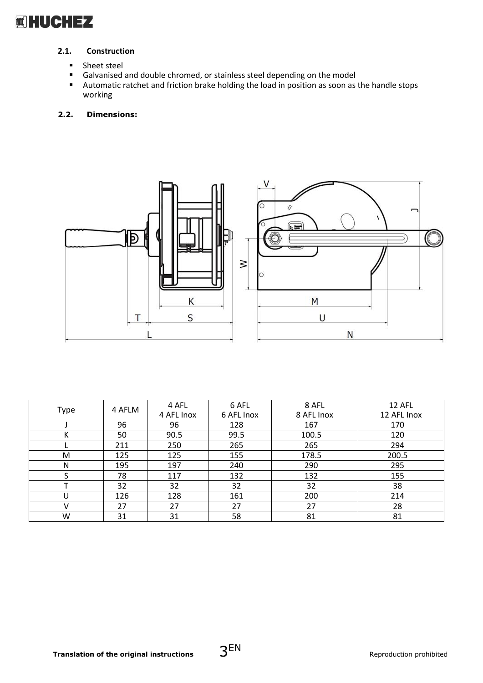# **岡HUCHEZ**

# **2.1. Construction**

- 
- Sheet steel<br>■ Galvanised ■ Galvanised and double chromed, or stainless steel depending on the model<br>■ Automatic ratchet and friction brake holding the load in position as soon as
- Automatic ratchet and friction brake holding the load in position as soon as the handle stops working

#### **2.2. Dimensions:**



|      | 4 AFLM | 4 AFL      | 6 AFL      | 8 AFL      | 12 AFL      |
|------|--------|------------|------------|------------|-------------|
| Type |        | 4 AFL Inox | 6 AFL Inox | 8 AFL Inox | 12 AFL Inox |
|      | 96     | 96         | 128        | 167        | 170         |
| К    | 50     | 90.5       | 99.5       | 100.5      | 120         |
|      | 211    | 250        | 265        | 265        | 294         |
| M    | 125    | 125        | 155        | 178.5      | 200.5       |
| N    | 195    | 197        | 240        | 290        | 295         |
|      | 78     | 117        | 132        | 132        | 155         |
|      | 32     | 32         | 32         | 32         | 38          |
| U    | 126    | 128        | 161        | 200        | 214         |
| v    | 27     | 27         | 27         | 27         | 28          |
| W    | 31     | 31         | 58         | 81         | 81          |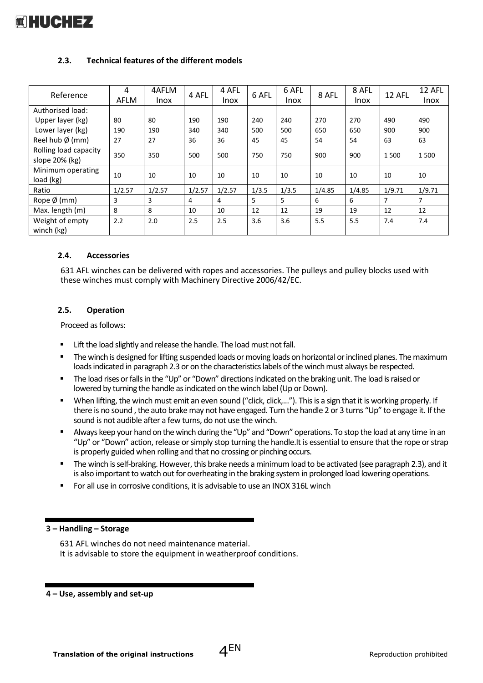

### **2.3. Technical features of the different models**

| Reference                               | 4<br>AFLM | 4AFLM<br><b>Inox</b> | 4 AFL  | 4 AFL<br>Inox | 6 AFL | 6 AFL<br><b>Inox</b> | 8 AFL  | 8 AFL<br><b>Inox</b> | 12 AFL | 12 AFL<br><b>Inox</b> |
|-----------------------------------------|-----------|----------------------|--------|---------------|-------|----------------------|--------|----------------------|--------|-----------------------|
| Authorised load:                        |           |                      |        |               |       |                      |        |                      |        |                       |
| Upper layer (kg)                        | 80        | 80                   | 190    | 190           | 240   | 240                  | 270    | 270                  | 490    | 490                   |
| Lower layer (kg)                        | 190       | 190                  | 340    | 340           | 500   | 500                  | 650    | 650                  | 900    | 900                   |
| Reel hub $\emptyset$ (mm)               | 27        | 27                   | 36     | 36            | 45    | 45                   | 54     | 54                   | 63     | 63                    |
| Rolling load capacity<br>slope 20% (kg) | 350       | 350                  | 500    | 500           | 750   | 750                  | 900    | 900                  | 1500   | 1500                  |
| Minimum operating<br>load (kg)          | 10        | 10                   | 10     | 10            | 10    | 10                   | 10     | 10                   | 10     | 10                    |
| Ratio                                   | 1/2.57    | 1/2.57               | 1/2.57 | 1/2.57        | 1/3.5 | 1/3.5                | 1/4.85 | 1/4.85               | 1/9.71 | 1/9.71                |
| Rope $\emptyset$ (mm)                   | 3         | 3                    | 4      | 4             | 5     | 5                    | 6      | 6                    | 7      | 7                     |
| Max. length (m)                         | 8         | 8                    | 10     | 10            | 12    | 12                   | 19     | 19                   | 12     | 12                    |
| Weight of empty<br>winch (kg)           | 2.2       | 2.0                  | 2.5    | 2.5           | 3.6   | 3.6                  | 5.5    | 5.5                  | 7.4    | 7.4                   |

#### **2.4. Accessories**

631 AFL winches can be delivered with ropes and accessories. The pulleys and pulley blocks used with these winches must comply with Machinery Directive 2006/42/EC.

#### **2.5. Operation**

Proceed as follows:

- Lift the load slightly and release the handle. The load must not fall.
- The winch is designed for lifting suspended loads or moving loads on horizontal or inclined planes. The maximum loads indicated in paragraph 2.3 or on the characteristics labels of the winch must always be respected.
- The load rises or falls in the "Up" or "Down" directions indicated on the braking unit. The load is raised or lowered by turning the handle as indicated on the winch label (Up or Down).
- When lifting, the winch must emit an even sound ("click, click,..."). This is a sign that it is working properly. If there is no sound , the auto brake may not have engaged. Turn the handle 2 or 3 turns "Up" to engage it. If the sound is not audible after a few turns, do not use the winch.
- Always keep your hand on the winch during the "Up" and "Down" operations. To stop the load at any time in an "Up" or "Down" action, release or simply stop turning the handle.It is essential to ensure that the rope or strap is properly guided when rolling and that no crossing or pinching occurs.
- The winch is self-braking. However, this brake needs a minimum load to be activated (see paragraph 2.3), and it is also important to watch out for overheating in the braking system in prolonged load lowering operations.
- For all use in corrosive conditions, it is advisable to use an INOX 316L winch

#### **3 – Handling – Storage**

631 AFL winches do not need maintenance material. It is advisable to store the equipment in weatherproof conditions.

**4 – Use, assembly and set-up**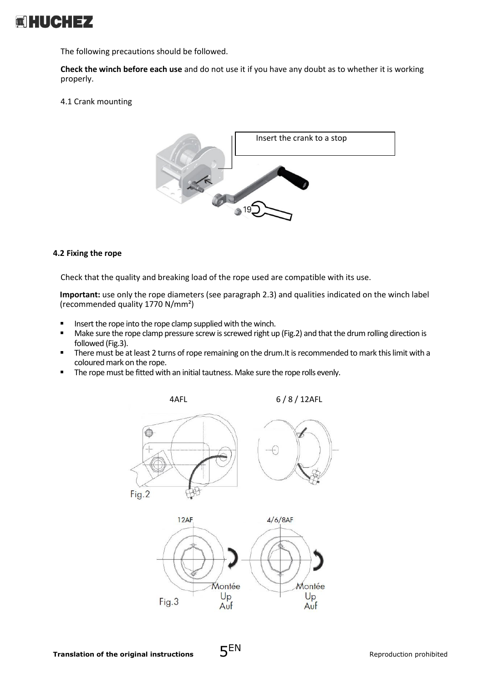

The following precautions should be followed.

**Check the winch before each use** and do not use it if you have any doubt as to whether it is working properly.

#### 4.1 Crank mounting



#### **4.2 Fixing the rope**

Check that the quality and breaking load of the rope used are compatible with its use.

**Important:** use only the rope diameters (see paragraph 2.3) and qualities indicated on the winch label (recommended quality 1770 N/mm²)

- Insert the rope into the rope clamp supplied with the winch.<br>■ Make sure the rope clamp pressure screw is screwed right up
- Make sure the rope clamp pressure screw is screwed right up (Fig.2) and that the drum rolling direction is followed (Fig.3).
- **•** There must be at least 2 turns of rope remaining on the drum. It is recommended to mark this limit with a coloured mark on the rope.
- The rope must be fitted with an initial tautness. Make sure the rope rolls evenly.

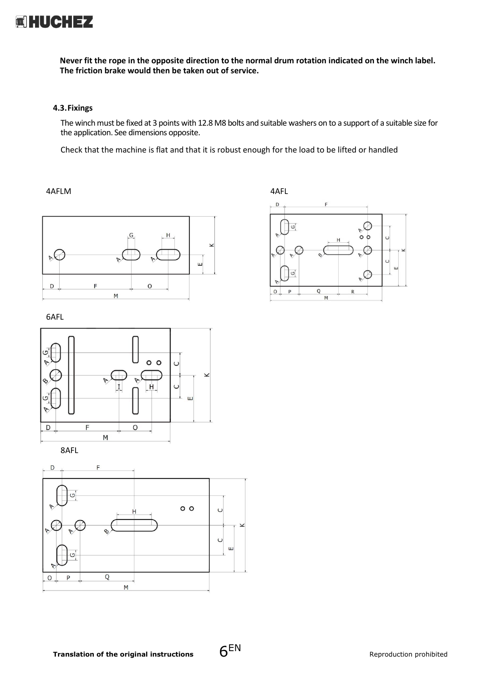

**Never fit the rope in the opposite direction to the normal drum rotation indicated on the winch label. The friction brake would then be taken out of service.**

#### **4.3.Fixings**

The winch must be fixed at 3 points with 12.8 M8 bolts and suitable washers on to a support of a suitable size for the application. See dimensions opposite.

Check that the machine is flat and that it is robust enough for the load to be lifted or handled

4AFLM 4AFL



 $\cdot$  D F ⊘  $\boxed{G}$  $\circ$  $\cup$ C  $\triangleright$  $\overline{O}$ Q M





8AFL

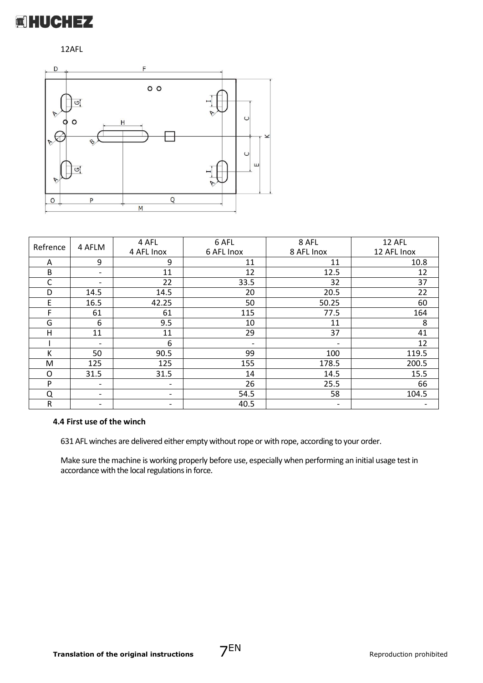

# 12AFL



| Refrence | 4 AFLM                   | 4 AFL                    | 6 AFL                    | 8 AFL                    | 12 AFL      |
|----------|--------------------------|--------------------------|--------------------------|--------------------------|-------------|
|          |                          | 4 AFL Inox               | 6 AFL Inox               | 8 AFL Inox               | 12 AFL Inox |
| Α        | 9                        | 9                        | 11                       | 11                       | 10.8        |
| B        | -                        | 11                       | 12                       | 12.5                     | 12          |
| C        | $\overline{\phantom{a}}$ | 22                       | 33.5                     | 32                       | 37          |
| D        | 14.5                     | 14.5                     | 20                       | 20.5                     | 22          |
| E        | 16.5                     | 42.25                    | 50                       | 50.25                    | 60          |
| F        | 61                       | 61                       | 115                      | 77.5                     | 164         |
| G        | 6                        | 9.5                      | 10                       | 11                       | 8           |
| H        | 11                       | 11                       | 29                       | 37                       | 41          |
|          | $\overline{\phantom{a}}$ | 6                        | $\overline{\phantom{0}}$ | $\overline{\phantom{a}}$ | 12          |
| К        | 50                       | 90.5                     | 99                       | 100                      | 119.5       |
| M        | 125                      | 125                      | 155                      | 178.5                    | 200.5       |
| O        | 31.5                     | 31.5                     | 14                       | 14.5                     | 15.5        |
| P        | $\overline{\phantom{a}}$ | $\overline{\phantom{0}}$ | 26                       | 25.5                     | 66          |
| Q        | $\overline{\phantom{a}}$ | $\overline{\phantom{0}}$ | 54.5                     | 58                       | 104.5       |
| R        | -                        | $\overline{\phantom{a}}$ | 40.5                     | $\overline{\phantom{a}}$ |             |

#### **4.4 First use of the winch**

631 AFL winches are delivered either empty without rope or with rope, according to your order.

Make sure the machine is working properly before use, especially when performing an initial usage test in accordance with the local regulations in force.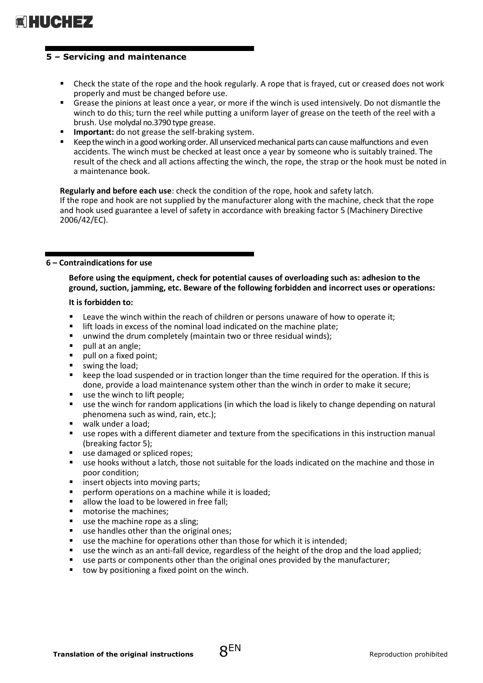

### **5 – Servicing and maintenance**

- Check the state of the rope and the hook regularly. A rope that is frayed, cut or creased does not work properly and must be changed before use.
- Grease the pinions at least once a year, or more if the winch is used intensively. Do not dismantle the winch to do this; turn the reel while putting a uniform layer of grease on the teeth of the reel with a brush. Use molydal no.3790 type grease.
- **■** Important: do not grease the self-braking system.
- Keep the winch in a good working order. All unserviced mechanical parts can cause malfunctions and even accidents. The winch must be checked at least once a year by someone who is suitably trained. The result of the check and all actions affecting the winch, the rope, the strap or the hook must be noted in a maintenance book.

**Regularly and before each use**: check the condition of the rope, hook and safety latch. If the rope and hook are not supplied by the manufacturer along with the machine, check that the rope and hook used guarantee a level of safety in accordance with breaking factor 5 (Machinery Directive 2006/42/EC).

#### **6 – Contraindications for use**

**Before using the equipment, check for potential causes of overloading such as: adhesion to the ground, suction, jamming, etc. Beware of the following forbidden and incorrect uses or operations:**

#### **It is forbidden to:**

- Leave the winch within the reach of children or persons unaware of how to operate it;
- lift loads in excess of the nominal load indicated on the machine plate;
- unwind the drum completely (maintain two or three residual winds);
- pull at an angle;
- pull on a fixed point;
- swing the load;
- keep the load suspended or in traction longer than the time required for the operation. If this is done, provide a load maintenance system other than the winch in order to make it secure;
- use the winch to lift people;
- use the winch for random applications (in which the load is likely to change depending on natural phenomena such as wind, rain, etc.);
- walk under a load:
- use ropes with a different diameter and texture from the specifications in this instruction manual (breaking factor 5);
- use damaged or spliced ropes;
- use hooks without a latch, those not suitable for the loads indicated on the machine and those in poor condition;
- insert objects into moving parts;
- perform operations on a machine while it is loaded;
- allow the load to be lowered in free fall;
- motorise the machines:
- use the machine rope as a sling;
- use handles other than the original ones;
- use the machine for operations other than those for which it is intended;
- use the winch as an anti-fall device, regardless of the height of the drop and the load applied;
- use parts or components other than the original ones provided by the manufacturer;
- tow by positioning a fixed point on the winch.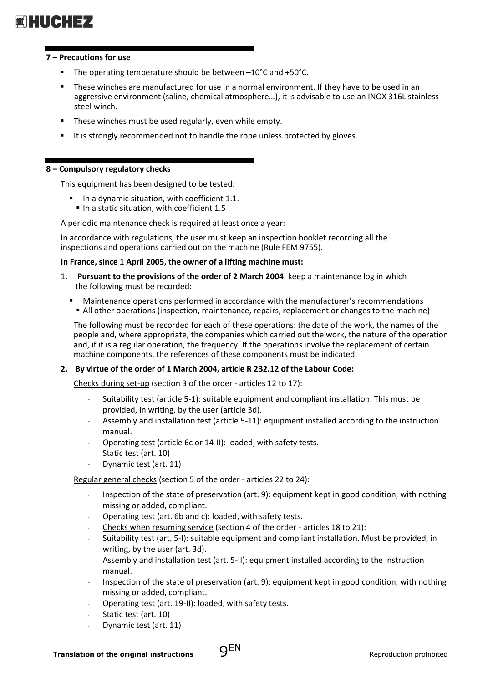# 

#### **7 – Precautions for use**

- The operating temperature should be between  $-10^{\circ}$ C and  $+50^{\circ}$ C.
- These winches are manufactured for use in a normal environment. If they have to be used in an aggressive environment (saline, chemical atmosphere…), it is advisable to use an INOX 316L stainless steel winch.
- These winches must be used regularly, even while empty.
- It is strongly recommended not to handle the rope unless protected by gloves.

#### **8 – Compulsory regulatory checks**

This equipment has been designed to be tested:

▪ In a dynamic situation, with coefficient 1.1. ■ In a static situation, with coefficient 1.5

A periodic maintenance check is required at least once a year:

In accordance with regulations, the user must keep an inspection booklet recording all the inspections and operations carried out on the machine (Rule FEM 9755).

#### **In France, since 1 April 2005, the owner of a lifting machine must:**

- 1. **Pursuant to the provisions of the order of 2 March 2004**, keep a maintenance log in which the following must be recorded:
	- Maintenance operations performed in accordance with the manufacturer's recommendations **•** All other operations (inspection, maintenance, repairs, replacement or changes to the machine)

The following must be recorded for each of these operations: the date of the work, the names of the people and, where appropriate, the companies which carried out the work, the nature of the operation and, if it is a regular operation, the frequency. If the operations involve the replacement of certain machine components, the references of these components must be indicated.

## **2. By virtue of the order of 1 March 2004, article R 232.12 of the Labour Code:**

Checks during set-up (section 3 of the order - articles 12 to 17):

- *-* Suitability test (article 5-1): suitable equipment and compliant installation. This must be provided, in writing, by the user (article 3d).
- *-* Assembly and installation test (article 5-11): equipment installed according to the instruction manual.
- *-* Operating test (article 6c or 14-II): loaded, with safety tests.
- *-* Static test (art. 10)
- *-* Dynamic test (art. 11)

Regular general checks (section 5 of the order - articles 22 to 24):

- *-* Inspection of the state of preservation (art. 9): equipment kept in good condition, with nothing missing or added, compliant.
- *-* Operating test (art. 6b and c): loaded, with safety tests.
- *-* Checks when resuming service (section 4 of the order articles 18 to 21):
- *-* Suitability test (art. 5-I): suitable equipment and compliant installation. Must be provided, in writing, by the user (art. 3d).
- *-* Assembly and installation test (art. 5-II): equipment installed according to the instruction manual.
- *-* Inspection of the state of preservation (art. 9): equipment kept in good condition, with nothing missing or added, compliant.
- *-* Operating test (art. 19-II): loaded, with safety tests.
- *-* Static test (art. 10)
- *-* Dynamic test (art. 11)